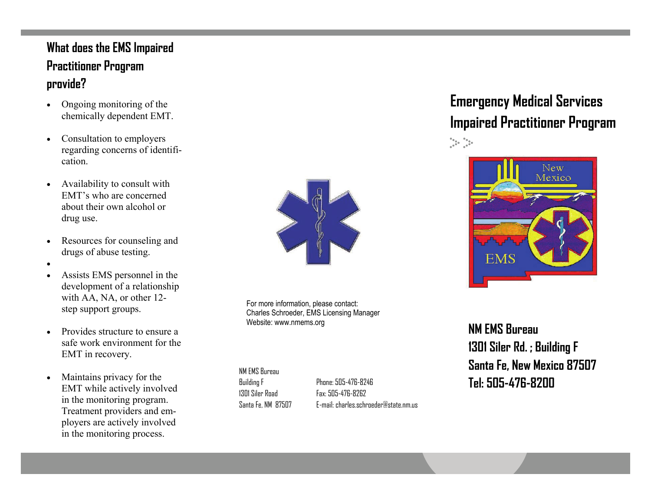### **What does the EMS Impaired Practitioner Program provide?**

- $\bullet$  Ongoing monitoring of the chemically dependent EMT.
- $\bullet$  Consultation to employers regarding concerns of identification.
- $\bullet$  Availability to consult with EMT's who are concerned about their own alcohol or drug use.
- $\bullet$  Resources for counseling and drugs of abuse testing.
- $\bullet$
- $\bullet$  Assists EMS personnel in the development of a relationship with AA, NA, or other 12 step support groups.
- $\bullet$  Provides structure to ensure a safe work environment for the EMT in recovery.
- $\bullet$  Maintains privacy for the EMT while actively involved in the monitoring program. Treatment providers and employers are actively involved in the monitoring process.



For more information, please contact: Charles Schroeder, EMS Licensing Manager Website: www.nmems.org

NM EMS Bureau Building F 1301 Siler Road Santa Fe, NM 87507

**Tel: 505-476-8200** Phone: 505-476-8246 Fax: 505-476-8262 E-mail: charles.schroeder@state.nm.us

# **Emergency Medical Services Impaired Practitioner Program**   $\frac{\partial \phi_{\alpha}}{\partial \beta} = \frac{\partial \phi_{\alpha}}{\partial \beta} =$



**NM EMS Bureau 1301 Siler Rd. ; Building F Santa Fe, New Mexico 87507**